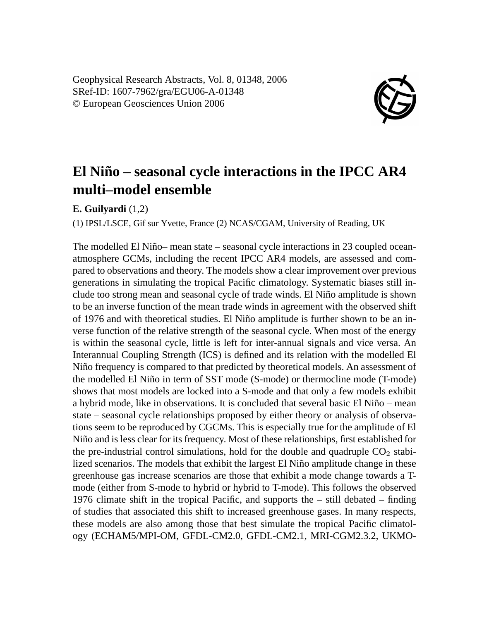Geophysical Research Abstracts, Vol. 8, 01348, 2006 SRef-ID: 1607-7962/gra/EGU06-A-01348 © European Geosciences Union 2006



## **El Niño – seasonal cycle interactions in the IPCC AR4 multi–model ensemble**

**E. Guilyardi** (1,2)

(1) IPSL/LSCE, Gif sur Yvette, France (2) NCAS/CGAM, University of Reading, UK

The modelled El Niño– mean state – seasonal cycle interactions in 23 coupled oceanatmosphere GCMs, including the recent IPCC AR4 models, are assessed and compared to observations and theory. The models show a clear improvement over previous generations in simulating the tropical Pacific climatology. Systematic biases still include too strong mean and seasonal cycle of trade winds. El Niño amplitude is shown to be an inverse function of the mean trade winds in agreement with the observed shift of 1976 and with theoretical studies. El Niño amplitude is further shown to be an inverse function of the relative strength of the seasonal cycle. When most of the energy is within the seasonal cycle, little is left for inter-annual signals and vice versa. An Interannual Coupling Strength (ICS) is defined and its relation with the modelled El Niño frequency is compared to that predicted by theoretical models. An assessment of the modelled El Niño in term of SST mode (S-mode) or thermocline mode (T-mode) shows that most models are locked into a S-mode and that only a few models exhibit a hybrid mode, like in observations. It is concluded that several basic El Niño – mean state – seasonal cycle relationships proposed by either theory or analysis of observations seem to be reproduced by CGCMs. This is especially true for the amplitude of El Niño and is less clear for its frequency. Most of these relationships, first established for the pre-industrial control simulations, hold for the double and quadruple  $CO<sub>2</sub>$  stabilized scenarios. The models that exhibit the largest El Niño amplitude change in these greenhouse gas increase scenarios are those that exhibit a mode change towards a Tmode (either from S-mode to hybrid or hybrid to T-mode). This follows the observed 1976 climate shift in the tropical Pacific, and supports the – still debated – finding of studies that associated this shift to increased greenhouse gases. In many respects, these models are also among those that best simulate the tropical Pacific climatology (ECHAM5/MPI-OM, GFDL-CM2.0, GFDL-CM2.1, MRI-CGM2.3.2, UKMO-